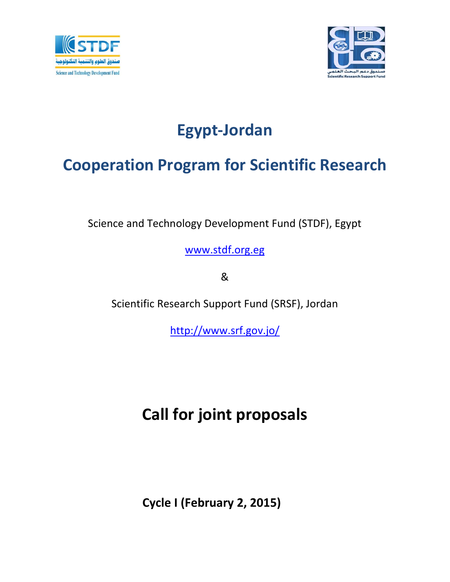



# **Egypt-Jordan**

### **Cooperation Program for Scientific Research**

Science and Technology Development Fund (STDF), Egypt

[www.stdf.org.eg](http://www.stdf.org.eg/)

&

Scientific Research Support Fund (SRSF), Jordan

<http://www.srf.gov.jo/>

## **Call for joint proposals**

**Cycle I (February 2, 2015)**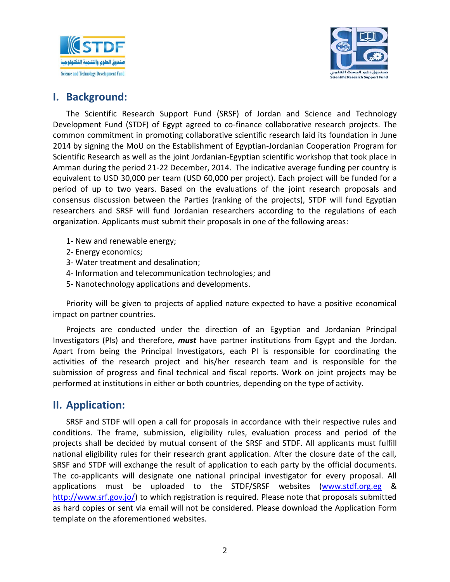



#### **I. Background:**

The Scientific Research Support Fund (SRSF) of Jordan and Science and Technology Development Fund (STDF) of Egypt agreed to co-finance collaborative research projects. The common commitment in promoting collaborative scientific research laid its foundation in June 2014 by signing the MoU on the Establishment of Egyptian-Jordanian Cooperation Program for Scientific Research as well as the joint Jordanian-Egyptian scientific workshop that took place in Amman during the period 21-22 December, 2014. The indicative average funding per country is equivalent to USD 30,000 per team (USD 60,000 per project). Each project will be funded for a period of up to two years. Based on the evaluations of the joint research proposals and consensus discussion between the Parties (ranking of the projects), STDF will fund Egyptian researchers and SRSF will fund Jordanian researchers according to the regulations of each organization. Applicants must submit their proposals in one of the following areas:

- 1- New and renewable energy;
- 2- Energy economics;
- 3- Water treatment and desalination;
- 4- Information and telecommunication technologies; and
- 5- Nanotechnology applications and developments.

Priority will be given to projects of applied nature expected to have a positive economical impact on partner countries.

Projects are conducted under the direction of an Egyptian and Jordanian Principal Investigators (PIs) and therefore, *must* have partner institutions from Egypt and the Jordan. Apart from being the Principal Investigators, each PI is responsible for coordinating the activities of the research project and his/her research team and is responsible for the submission of progress and final technical and fiscal reports. Work on joint projects may be performed at institutions in either or both countries, depending on the type of activity.

#### **II. Application:**

SRSF and STDF will open a call for proposals in accordance with their respective rules and conditions. The frame, submission, eligibility rules, evaluation process and period of the projects shall be decided by mutual consent of the SRSF and STDF. All applicants must fulfill national eligibility rules for their research grant application. After the closure date of the call, SRSF and STDF will exchange the result of application to each party by the official documents. The co-applicants will designate one national principal investigator for every proposal. All applications must be uploaded to the STDF/SRSF websites [\(www.stdf.org.eg](http://www.stdf.org.eg/) & [http://www.srf.gov.jo/\)](http://www.srf.gov.jo/) to which registration is required. Please note that proposals submitted as hard copies or sent via email will not be considered. Please download the Application Form template on the aforementioned websites.